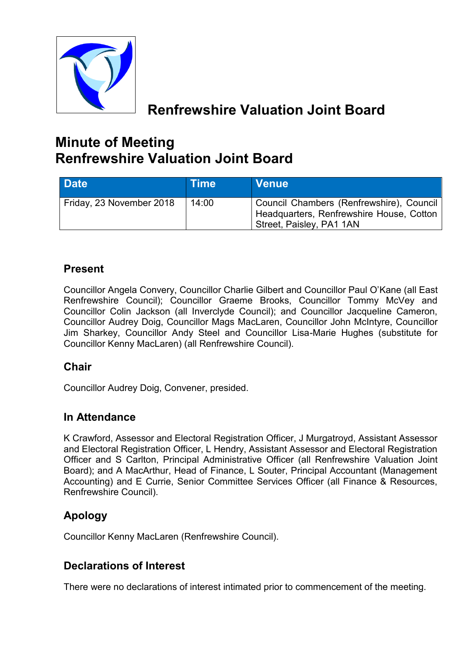

# **Renfrewshire Valuation Joint Board**

# **Minute of Meeting Renfrewshire Valuation Joint Board**

| Date <sup>1</sup>        | <b>Time</b> | <b>Venue</b>                                                                                                     |
|--------------------------|-------------|------------------------------------------------------------------------------------------------------------------|
| Friday, 23 November 2018 | 14:00       | Council Chambers (Renfrewshire), Council<br>Headquarters, Renfrewshire House, Cotton<br>Street, Paisley, PA1 1AN |

# **Present**

Councillor Angela Convery, Councillor Charlie Gilbert and Councillor Paul O'Kane (all East Renfrewshire Council); Councillor Graeme Brooks, Councillor Tommy McVey and Councillor Colin Jackson (all Inverclyde Council); and Councillor Jacqueline Cameron, Councillor Audrey Doig, Councillor Mags MacLaren, Councillor John McIntyre, Councillor Jim Sharkey, Councillor Andy Steel and Councillor Lisa-Marie Hughes (substitute for Councillor Kenny MacLaren) (all Renfrewshire Council).

# **Chair**

Councillor Audrey Doig, Convener, presided.

# **In Attendance**

K Crawford, Assessor and Electoral Registration Officer, J Murgatroyd, Assistant Assessor and Electoral Registration Officer, L Hendry, Assistant Assessor and Electoral Registration Officer and S Carlton, Principal Administrative Officer (all Renfrewshire Valuation Joint Board); and A MacArthur, Head of Finance, L Souter, Principal Accountant (Management Accounting) and E Currie, Senior Committee Services Officer (all Finance & Resources, Renfrewshire Council).

# **Apology**

Councillor Kenny MacLaren (Renfrewshire Council).

# **Declarations of Interest**

There were no declarations of interest intimated prior to commencement of the meeting.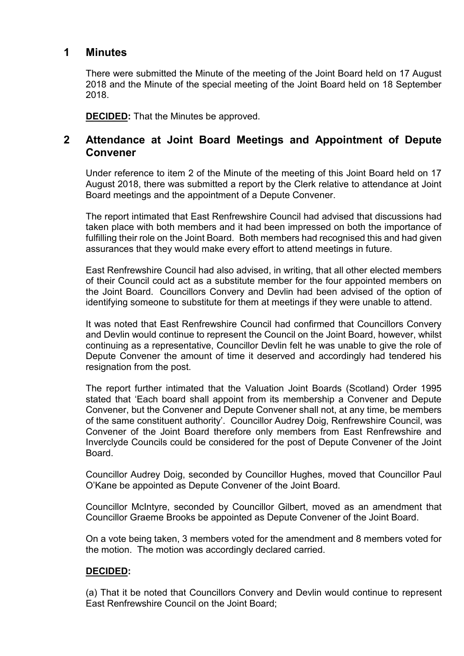### **1 Minutes**

There were submitted the Minute of the meeting of the Joint Board held on 17 August 2018 and the Minute of the special meeting of the Joint Board held on 18 September 2018.

**DECIDED:** That the Minutes be approved.

## **2 Attendance at Joint Board Meetings and Appointment of Depute Convener**

Under reference to item 2 of the Minute of the meeting of this Joint Board held on 17 August 2018, there was submitted a report by the Clerk relative to attendance at Joint Board meetings and the appointment of a Depute Convener.

The report intimated that East Renfrewshire Council had advised that discussions had taken place with both members and it had been impressed on both the importance of fulfilling their role on the Joint Board. Both members had recognised this and had given assurances that they would make every effort to attend meetings in future.

East Renfrewshire Council had also advised, in writing, that all other elected members of their Council could act as a substitute member for the four appointed members on the Joint Board. Councillors Convery and Devlin had been advised of the option of identifying someone to substitute for them at meetings if they were unable to attend.

It was noted that East Renfrewshire Council had confirmed that Councillors Convery and Devlin would continue to represent the Council on the Joint Board, however, whilst continuing as a representative, Councillor Devlin felt he was unable to give the role of Depute Convener the amount of time it deserved and accordingly had tendered his resignation from the post.

The report further intimated that the Valuation Joint Boards (Scotland) Order 1995 stated that 'Each board shall appoint from its membership a Convener and Depute Convener, but the Convener and Depute Convener shall not, at any time, be members of the same constituent authority'. Councillor Audrey Doig, Renfrewshire Council, was Convener of the Joint Board therefore only members from East Renfrewshire and Inverclyde Councils could be considered for the post of Depute Convener of the Joint Board.

Councillor Audrey Doig, seconded by Councillor Hughes, moved that Councillor Paul O'Kane be appointed as Depute Convener of the Joint Board.

Councillor McIntyre, seconded by Councillor Gilbert, moved as an amendment that Councillor Graeme Brooks be appointed as Depute Convener of the Joint Board.

On a vote being taken, 3 members voted for the amendment and 8 members voted for the motion. The motion was accordingly declared carried.

#### **DECIDED:**

(a) That it be noted that Councillors Convery and Devlin would continue to represent East Renfrewshire Council on the Joint Board;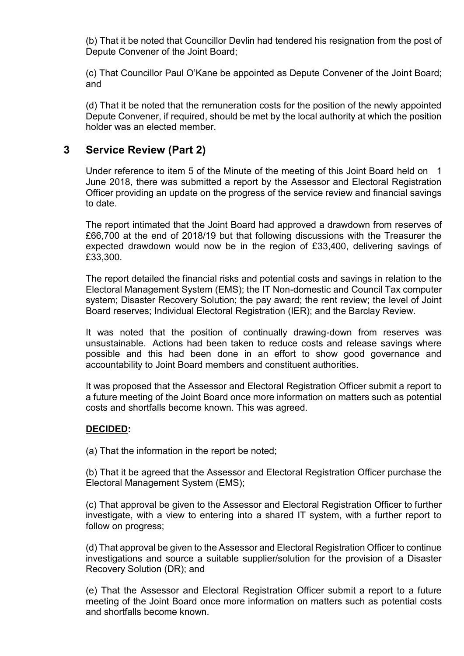(b) That it be noted that Councillor Devlin had tendered his resignation from the post of Depute Convener of the Joint Board;

(c) That Councillor Paul O'Kane be appointed as Depute Convener of the Joint Board; and

(d) That it be noted that the remuneration costs for the position of the newly appointed Depute Convener, if required, should be met by the local authority at which the position holder was an elected member.

## **3 Service Review (Part 2)**

Under reference to item 5 of the Minute of the meeting of this Joint Board held on 1 June 2018, there was submitted a report by the Assessor and Electoral Registration Officer providing an update on the progress of the service review and financial savings to date.

The report intimated that the Joint Board had approved a drawdown from reserves of £66,700 at the end of 2018/19 but that following discussions with the Treasurer the expected drawdown would now be in the region of £33,400, delivering savings of £33,300.

The report detailed the financial risks and potential costs and savings in relation to the Electoral Management System (EMS); the IT Non-domestic and Council Tax computer system; Disaster Recovery Solution; the pay award; the rent review; the level of Joint Board reserves; Individual Electoral Registration (IER); and the Barclay Review.

It was noted that the position of continually drawing-down from reserves was unsustainable. Actions had been taken to reduce costs and release savings where possible and this had been done in an effort to show good governance and accountability to Joint Board members and constituent authorities.

It was proposed that the Assessor and Electoral Registration Officer submit a report to a future meeting of the Joint Board once more information on matters such as potential costs and shortfalls become known. This was agreed.

#### **DECIDED:**

(a) That the information in the report be noted;

(b) That it be agreed that the Assessor and Electoral Registration Officer purchase the Electoral Management System (EMS);

(c) That approval be given to the Assessor and Electoral Registration Officer to further investigate, with a view to entering into a shared IT system, with a further report to follow on progress;

(d) That approval be given to the Assessor and Electoral Registration Officer to continue investigations and source a suitable supplier/solution for the provision of a Disaster Recovery Solution (DR); and

(e) That the Assessor and Electoral Registration Officer submit a report to a future meeting of the Joint Board once more information on matters such as potential costs and shortfalls become known.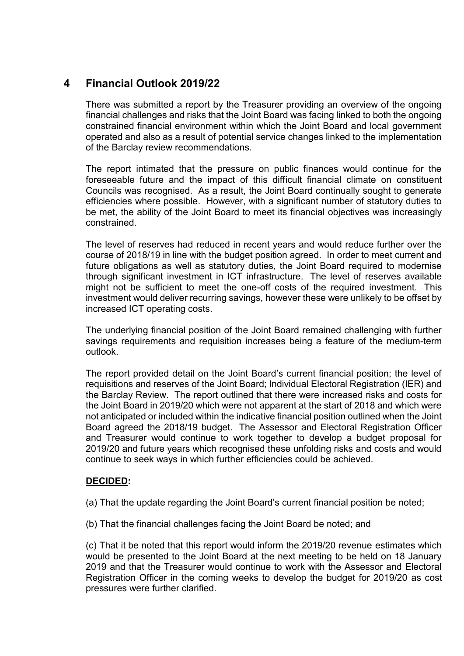# **4 Financial Outlook 2019/22**

There was submitted a report by the Treasurer providing an overview of the ongoing financial challenges and risks that the Joint Board was facing linked to both the ongoing constrained financial environment within which the Joint Board and local government operated and also as a result of potential service changes linked to the implementation of the Barclay review recommendations.

The report intimated that the pressure on public finances would continue for the foreseeable future and the impact of this difficult financial climate on constituent Councils was recognised. As a result, the Joint Board continually sought to generate efficiencies where possible. However, with a significant number of statutory duties to be met, the ability of the Joint Board to meet its financial objectives was increasingly constrained.

The level of reserves had reduced in recent years and would reduce further over the course of 2018/19 in line with the budget position agreed. In order to meet current and future obligations as well as statutory duties, the Joint Board required to modernise through significant investment in ICT infrastructure. The level of reserves available might not be sufficient to meet the one-off costs of the required investment. This investment would deliver recurring savings, however these were unlikely to be offset by increased ICT operating costs.

The underlying financial position of the Joint Board remained challenging with further savings requirements and requisition increases being a feature of the medium-term outlook.

The report provided detail on the Joint Board's current financial position; the level of requisitions and reserves of the Joint Board; Individual Electoral Registration (IER) and the Barclay Review. The report outlined that there were increased risks and costs for the Joint Board in 2019/20 which were not apparent at the start of 2018 and which were not anticipated or included within the indicative financial position outlined when the Joint Board agreed the 2018/19 budget. The Assessor and Electoral Registration Officer and Treasurer would continue to work together to develop a budget proposal for 2019/20 and future years which recognised these unfolding risks and costs and would continue to seek ways in which further efficiencies could be achieved.

#### **DECIDED:**

(a) That the update regarding the Joint Board's current financial position be noted;

(b) That the financial challenges facing the Joint Board be noted; and

(c) That it be noted that this report would inform the 2019/20 revenue estimates which would be presented to the Joint Board at the next meeting to be held on 18 January 2019 and that the Treasurer would continue to work with the Assessor and Electoral Registration Officer in the coming weeks to develop the budget for 2019/20 as cost pressures were further clarified.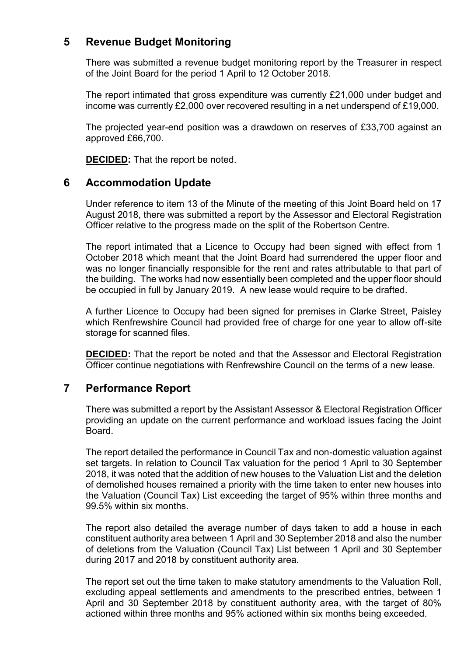## **5 Revenue Budget Monitoring**

There was submitted a revenue budget monitoring report by the Treasurer in respect of the Joint Board for the period 1 April to 12 October 2018.

The report intimated that gross expenditure was currently £21,000 under budget and income was currently £2,000 over recovered resulting in a net underspend of £19,000.

The projected year-end position was a drawdown on reserves of £33,700 against an approved £66,700.

**DECIDED:** That the report be noted.

## **6 Accommodation Update**

Under reference to item 13 of the Minute of the meeting of this Joint Board held on 17 August 2018, there was submitted a report by the Assessor and Electoral Registration Officer relative to the progress made on the split of the Robertson Centre.

The report intimated that a Licence to Occupy had been signed with effect from 1 October 2018 which meant that the Joint Board had surrendered the upper floor and was no longer financially responsible for the rent and rates attributable to that part of the building. The works had now essentially been completed and the upper floor should be occupied in full by January 2019. A new lease would require to be drafted.

A further Licence to Occupy had been signed for premises in Clarke Street, Paisley which Renfrewshire Council had provided free of charge for one year to allow off-site storage for scanned files.

**DECIDED:** That the report be noted and that the Assessor and Electoral Registration Officer continue negotiations with Renfrewshire Council on the terms of a new lease.

## **7 Performance Report**

There was submitted a report by the Assistant Assessor & Electoral Registration Officer providing an update on the current performance and workload issues facing the Joint Board.

The report detailed the performance in Council Tax and non-domestic valuation against set targets. In relation to Council Tax valuation for the period 1 April to 30 September 2018, it was noted that the addition of new houses to the Valuation List and the deletion of demolished houses remained a priority with the time taken to enter new houses into the Valuation (Council Tax) List exceeding the target of 95% within three months and 99.5% within six months.

The report also detailed the average number of days taken to add a house in each constituent authority area between 1 April and 30 September 2018 and also the number of deletions from the Valuation (Council Tax) List between 1 April and 30 September during 2017 and 2018 by constituent authority area.

The report set out the time taken to make statutory amendments to the Valuation Roll, excluding appeal settlements and amendments to the prescribed entries, between 1 April and 30 September 2018 by constituent authority area, with the target of 80% actioned within three months and 95% actioned within six months being exceeded.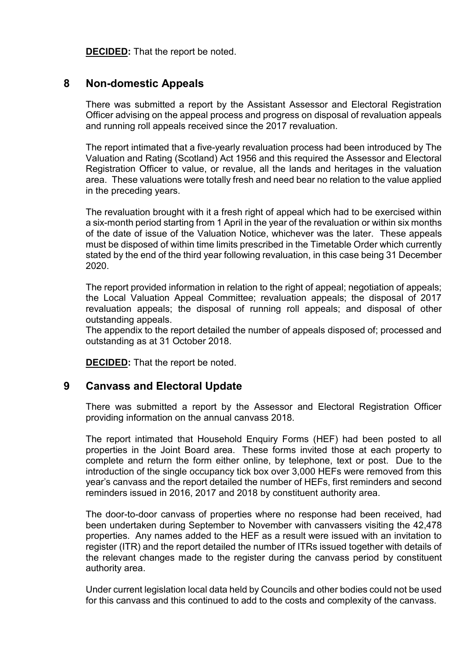**DECIDED:** That the report be noted.

## **8 Non-domestic Appeals**

There was submitted a report by the Assistant Assessor and Electoral Registration Officer advising on the appeal process and progress on disposal of revaluation appeals and running roll appeals received since the 2017 revaluation.

The report intimated that a five-yearly revaluation process had been introduced by The Valuation and Rating (Scotland) Act 1956 and this required the Assessor and Electoral Registration Officer to value, or revalue, all the lands and heritages in the valuation area. These valuations were totally fresh and need bear no relation to the value applied in the preceding years.

The revaluation brought with it a fresh right of appeal which had to be exercised within a six-month period starting from 1 April in the year of the revaluation or within six months of the date of issue of the Valuation Notice, whichever was the later. These appeals must be disposed of within time limits prescribed in the Timetable Order which currently stated by the end of the third year following revaluation, in this case being 31 December 2020.

The report provided information in relation to the right of appeal; negotiation of appeals; the Local Valuation Appeal Committee; revaluation appeals; the disposal of 2017 revaluation appeals; the disposal of running roll appeals; and disposal of other outstanding appeals.

The appendix to the report detailed the number of appeals disposed of; processed and outstanding as at 31 October 2018.

**DECIDED:** That the report be noted.

#### **9 Canvass and Electoral Update**

There was submitted a report by the Assessor and Electoral Registration Officer providing information on the annual canvass 2018.

The report intimated that Household Enquiry Forms (HEF) had been posted to all properties in the Joint Board area. These forms invited those at each property to complete and return the form either online, by telephone, text or post. Due to the introduction of the single occupancy tick box over 3,000 HEFs were removed from this year's canvass and the report detailed the number of HEFs, first reminders and second reminders issued in 2016, 2017 and 2018 by constituent authority area.

The door-to-door canvass of properties where no response had been received, had been undertaken during September to November with canvassers visiting the 42,478 properties. Any names added to the HEF as a result were issued with an invitation to register (ITR) and the report detailed the number of ITRs issued together with details of the relevant changes made to the register during the canvass period by constituent authority area.

Under current legislation local data held by Councils and other bodies could not be used for this canvass and this continued to add to the costs and complexity of the canvass.